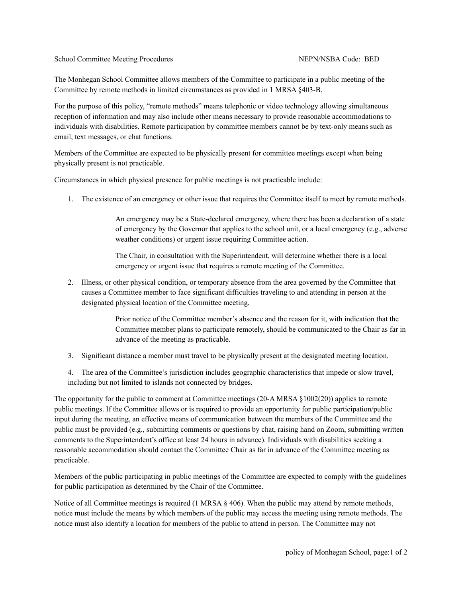School Committee Meeting Procedures NEPN/NSBA Code: BED

The Monhegan School Committee allows members of the Committee to participate in a public meeting of the Committee by remote methods in limited circumstances as provided in 1 MRSA §403-B.

For the purpose of this policy, "remote methods" means telephonic or video technology allowing simultaneous reception of information and may also include other means necessary to provide reasonable accommodations to individuals with disabilities. Remote participation by committee members cannot be by text-only means such as email, text messages, or chat functions.

Members of the Committee are expected to be physically present for committee meetings except when being physically present is not practicable.

Circumstances in which physical presence for public meetings is not practicable include:

1. The existence of an emergency or other issue that requires the Committee itself to meet by remote methods.

An emergency may be a State-declared emergency, where there has been a declaration of a state of emergency by the Governor that applies to the school unit, or a local emergency (e.g., adverse weather conditions) or urgent issue requiring Committee action.

The Chair, in consultation with the Superintendent, will determine whether there is a local emergency or urgent issue that requires a remote meeting of the Committee.

2. Illness, or other physical condition, or temporary absence from the area governed by the Committee that causes a Committee member to face significant difficulties traveling to and attending in person at the designated physical location of the Committee meeting.

> Prior notice of the Committee member's absence and the reason for it, with indication that the Committee member plans to participate remotely, should be communicated to the Chair as far in advance of the meeting as practicable.

3. Significant distance a member must travel to be physically present at the designated meeting location.

4. The area of the Committee's jurisdiction includes geographic characteristics that impede or slow travel, including but not limited to islands not connected by bridges.

The opportunity for the public to comment at Committee meetings (20-A MRSA §1002(20)) applies to remote public meetings. If the Committee allows or is required to provide an opportunity for public participation/public input during the meeting, an effective means of communication between the members of the Committee and the public must be provided (e.g., submitting comments or questions by chat, raising hand on Zoom, submitting written comments to the Superintendent's office at least 24 hours in advance). Individuals with disabilities seeking a reasonable accommodation should contact the Committee Chair as far in advance of the Committee meeting as practicable.

Members of the public participating in public meetings of the Committee are expected to comply with the guidelines for public participation as determined by the Chair of the Committee.

Notice of all Committee meetings is required (1 MRSA  $\S$  406). When the public may attend by remote methods, notice must include the means by which members of the public may access the meeting using remote methods. The notice must also identify a location for members of the public to attend in person. The Committee may not